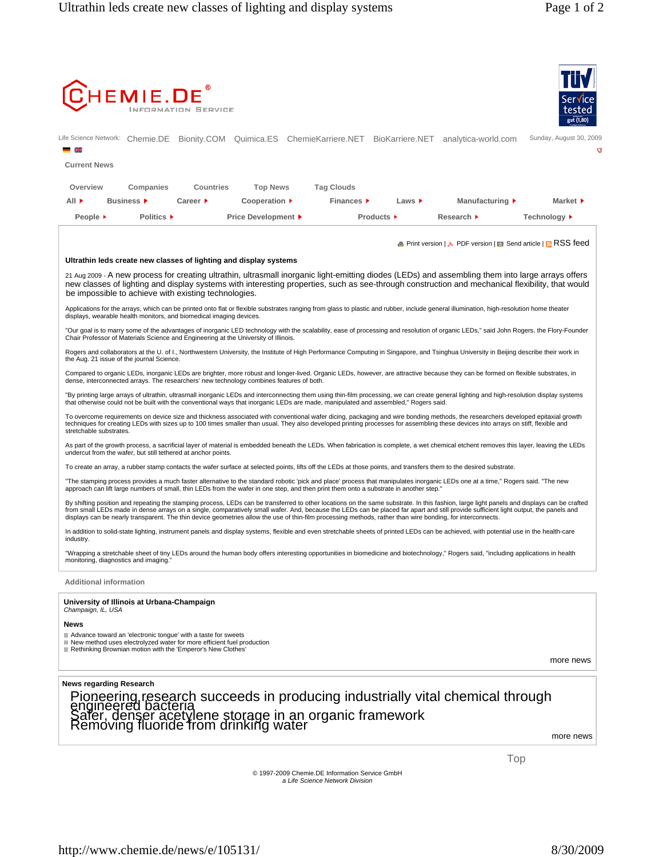

Top

© 1997-2009 Chemie.DE Information Service GmbH *a Life Science Network Division*